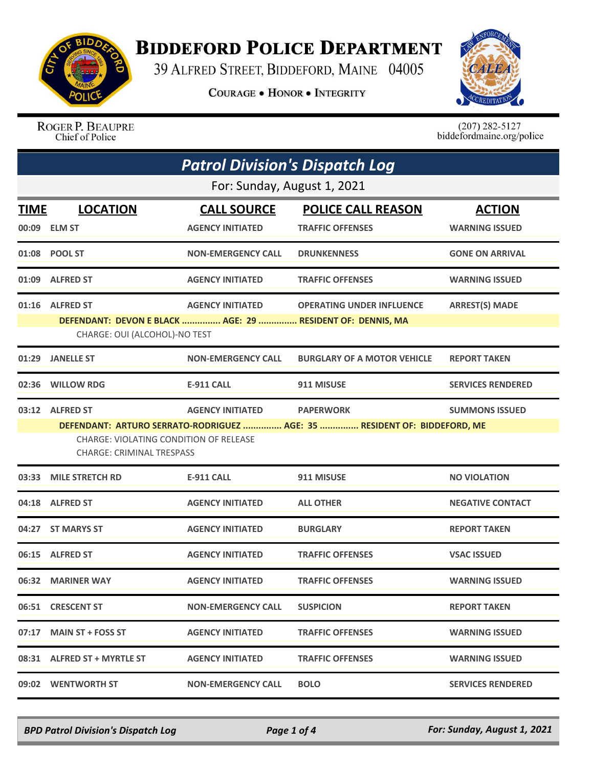

## **BIDDEFORD POLICE DEPARTMENT**

39 ALFRED STREET, BIDDEFORD, MAINE 04005

**COURAGE . HONOR . INTEGRITY** 



ROGER P. BEAUPRE Chief of Police

 $(207)$  282-5127<br>biddefordmaine.org/police

| <b>Patrol Division's Dispatch Log</b> |                                                                                                                           |                           |                                    |                          |  |  |
|---------------------------------------|---------------------------------------------------------------------------------------------------------------------------|---------------------------|------------------------------------|--------------------------|--|--|
|                                       | For: Sunday, August 1, 2021                                                                                               |                           |                                    |                          |  |  |
| <b>TIME</b>                           | <b>LOCATION</b>                                                                                                           | <b>CALL SOURCE</b>        | <b>POLICE CALL REASON</b>          | <b>ACTION</b>            |  |  |
|                                       | 00:09 ELM ST                                                                                                              | <b>AGENCY INITIATED</b>   | <b>TRAFFIC OFFENSES</b>            | <b>WARNING ISSUED</b>    |  |  |
|                                       | 01:08 POOL ST                                                                                                             | <b>NON-EMERGENCY CALL</b> | <b>DRUNKENNESS</b>                 | <b>GONE ON ARRIVAL</b>   |  |  |
|                                       | 01:09 ALFRED ST                                                                                                           | <b>AGENCY INITIATED</b>   | <b>TRAFFIC OFFENSES</b>            | <b>WARNING ISSUED</b>    |  |  |
|                                       | 01:16 ALFRED ST                                                                                                           | <b>AGENCY INITIATED</b>   | <b>OPERATING UNDER INFLUENCE</b>   | <b>ARREST(S) MADE</b>    |  |  |
|                                       | DEFENDANT: DEVON E BLACK  AGE: 29  RESIDENT OF: DENNIS, MA<br>CHARGE: OUI (ALCOHOL)-NO TEST                               |                           |                                    |                          |  |  |
| 01:29                                 | <b>JANELLE ST</b>                                                                                                         | <b>NON-EMERGENCY CALL</b> | <b>BURGLARY OF A MOTOR VEHICLE</b> | <b>REPORT TAKEN</b>      |  |  |
| 02:36                                 | <b>WILLOW RDG</b>                                                                                                         | <b>E-911 CALL</b>         | 911 MISUSE                         | <b>SERVICES RENDERED</b> |  |  |
|                                       | 03:12 ALFRED ST                                                                                                           | <b>AGENCY INITIATED</b>   | <b>PAPERWORK</b>                   | <b>SUMMONS ISSUED</b>    |  |  |
|                                       | DEFENDANT: ARTURO SERRATO-RODRIGUEZ  AGE: 35  RESIDENT OF: BIDDEFORD, ME<br><b>CHARGE: VIOLATING CONDITION OF RELEASE</b> |                           |                                    |                          |  |  |
|                                       | <b>CHARGE: CRIMINAL TRESPASS</b>                                                                                          |                           |                                    |                          |  |  |
|                                       | 03:33 MILE STRETCH RD                                                                                                     | <b>E-911 CALL</b>         | 911 MISUSE                         | <b>NO VIOLATION</b>      |  |  |
| 04:18                                 | <b>ALFRED ST</b>                                                                                                          | <b>AGENCY INITIATED</b>   | <b>ALL OTHER</b>                   | <b>NEGATIVE CONTACT</b>  |  |  |
| 04:27                                 | <b>ST MARYS ST</b>                                                                                                        | <b>AGENCY INITIATED</b>   | <b>BURGLARY</b>                    | <b>REPORT TAKEN</b>      |  |  |
| 06:15                                 | <b>ALFRED ST</b>                                                                                                          | <b>AGENCY INITIATED</b>   | <b>TRAFFIC OFFENSES</b>            | <b>VSAC ISSUED</b>       |  |  |
|                                       | 06:32 MARINER WAY                                                                                                         | <b>AGENCY INITIATED</b>   | <b>TRAFFIC OFFENSES</b>            | <b>WARNING ISSUED</b>    |  |  |
|                                       | 06:51 CRESCENT ST                                                                                                         | <b>NON-EMERGENCY CALL</b> | <b>SUSPICION</b>                   | <b>REPORT TAKEN</b>      |  |  |
|                                       | 07:17 MAIN ST + FOSS ST                                                                                                   | <b>AGENCY INITIATED</b>   | <b>TRAFFIC OFFENSES</b>            | <b>WARNING ISSUED</b>    |  |  |
|                                       | 08:31 ALFRED ST + MYRTLE ST                                                                                               | <b>AGENCY INITIATED</b>   | <b>TRAFFIC OFFENSES</b>            | <b>WARNING ISSUED</b>    |  |  |
|                                       | 09:02 WENTWORTH ST                                                                                                        | <b>NON-EMERGENCY CALL</b> | <b>BOLO</b>                        | <b>SERVICES RENDERED</b> |  |  |

*BPD Patrol Division's Dispatch Log Page 1 of 4 For: Sunday, August 1, 2021*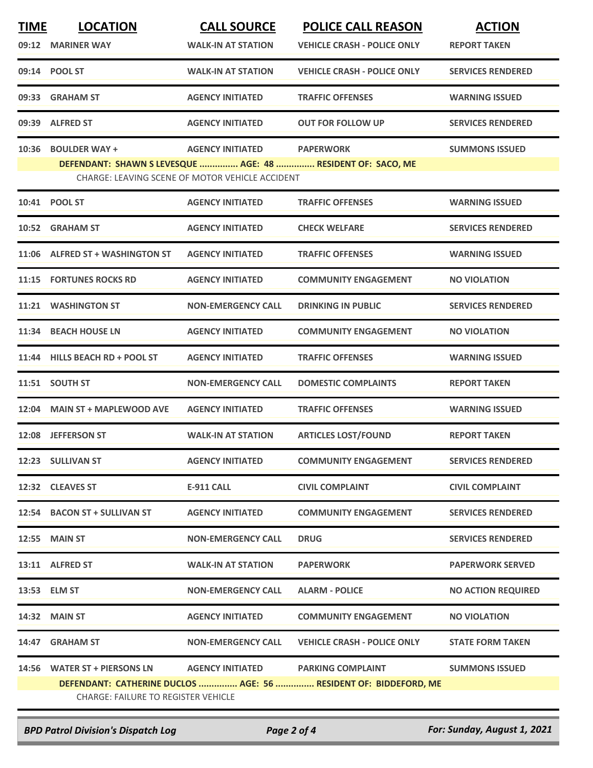| <b>TIME</b> | <b>LOCATION</b>                                                                                                | <b>CALL SOURCE</b>                              | <b>POLICE CALL REASON</b>                                   | <b>ACTION</b>             |  |
|-------------|----------------------------------------------------------------------------------------------------------------|-------------------------------------------------|-------------------------------------------------------------|---------------------------|--|
| 09:12       | <b>MARINER WAY</b>                                                                                             | <b>WALK-IN AT STATION</b>                       | <b>VEHICLE CRASH - POLICE ONLY</b>                          | <b>REPORT TAKEN</b>       |  |
|             | 09:14 POOL ST                                                                                                  | <b>WALK-IN AT STATION</b>                       | <b>VEHICLE CRASH - POLICE ONLY</b>                          | <b>SERVICES RENDERED</b>  |  |
| 09:33       | <b>GRAHAM ST</b>                                                                                               | <b>AGENCY INITIATED</b>                         | <b>TRAFFIC OFFENSES</b>                                     | <b>WARNING ISSUED</b>     |  |
| 09:39       | <b>ALFRED ST</b>                                                                                               | <b>AGENCY INITIATED</b>                         | <b>OUT FOR FOLLOW UP</b>                                    | <b>SERVICES RENDERED</b>  |  |
| 10:36       | <b>BOULDER WAY +</b>                                                                                           | <b>AGENCY INITIATED</b>                         | <b>PAPERWORK</b>                                            | <b>SUMMONS ISSUED</b>     |  |
|             |                                                                                                                | CHARGE: LEAVING SCENE OF MOTOR VEHICLE ACCIDENT | DEFENDANT: SHAWN S LEVESQUE  AGE: 48  RESIDENT OF: SACO, ME |                           |  |
|             | 10:41 POOL ST                                                                                                  | <b>AGENCY INITIATED</b>                         | <b>TRAFFIC OFFENSES</b>                                     | <b>WARNING ISSUED</b>     |  |
| 10:52       | <b>GRAHAM ST</b>                                                                                               | <b>AGENCY INITIATED</b>                         | <b>CHECK WELFARE</b>                                        | <b>SERVICES RENDERED</b>  |  |
| 11:06       | <b>ALFRED ST + WASHINGTON ST</b>                                                                               | <b>AGENCY INITIATED</b>                         | <b>TRAFFIC OFFENSES</b>                                     | <b>WARNING ISSUED</b>     |  |
| 11:15       | <b>FORTUNES ROCKS RD</b>                                                                                       | <b>AGENCY INITIATED</b>                         | <b>COMMUNITY ENGAGEMENT</b>                                 | <b>NO VIOLATION</b>       |  |
| 11:21       | <b>WASHINGTON ST</b>                                                                                           | <b>NON-EMERGENCY CALL</b>                       | <b>DRINKING IN PUBLIC</b>                                   | <b>SERVICES RENDERED</b>  |  |
| 11:34       | <b>BEACH HOUSE LN</b>                                                                                          | <b>AGENCY INITIATED</b>                         | <b>COMMUNITY ENGAGEMENT</b>                                 | <b>NO VIOLATION</b>       |  |
| 11:44       | <b>HILLS BEACH RD + POOL ST</b>                                                                                | <b>AGENCY INITIATED</b>                         | <b>TRAFFIC OFFENSES</b>                                     | <b>WARNING ISSUED</b>     |  |
|             | 11:51 SOUTH ST                                                                                                 | <b>NON-EMERGENCY CALL</b>                       | <b>DOMESTIC COMPLAINTS</b>                                  | <b>REPORT TAKEN</b>       |  |
| 12:04       | <b>MAIN ST + MAPLEWOOD AVE</b>                                                                                 | <b>AGENCY INITIATED</b>                         | <b>TRAFFIC OFFENSES</b>                                     | <b>WARNING ISSUED</b>     |  |
| 12:08       | <b>JEFFERSON ST</b>                                                                                            | <b>WALK-IN AT STATION</b>                       | <b>ARTICLES LOST/FOUND</b>                                  | <b>REPORT TAKEN</b>       |  |
|             | 12:23 SULLIVAN ST                                                                                              | <b>AGENCY INITIATED</b>                         | <b>COMMUNITY ENGAGEMENT</b>                                 | <b>SERVICES RENDERED</b>  |  |
|             | 12:32 CLEAVES ST                                                                                               | E-911 CALL                                      | <b>CIVIL COMPLAINT</b>                                      | <b>CIVIL COMPLAINT</b>    |  |
|             | 12:54 BACON ST + SULLIVAN ST                                                                                   | <b>AGENCY INITIATED</b>                         | <b>COMMUNITY ENGAGEMENT</b>                                 | <b>SERVICES RENDERED</b>  |  |
|             | <b>12:55 MAIN ST</b>                                                                                           | <b>NON-EMERGENCY CALL</b>                       | <b>DRUG</b>                                                 | <b>SERVICES RENDERED</b>  |  |
|             | 13:11 ALFRED ST                                                                                                | <b>WALK-IN AT STATION</b>                       | <b>PAPERWORK</b>                                            | <b>PAPERWORK SERVED</b>   |  |
|             | 13:53 ELM ST                                                                                                   | <b>NON-EMERGENCY CALL</b>                       | <b>ALARM - POLICE</b>                                       | <b>NO ACTION REQUIRED</b> |  |
|             | 14:32 MAIN ST                                                                                                  | <b>AGENCY INITIATED</b>                         | <b>COMMUNITY ENGAGEMENT</b>                                 | <b>NO VIOLATION</b>       |  |
|             | 14:47 GRAHAM ST                                                                                                | <b>NON-EMERGENCY CALL</b>                       | <b>VEHICLE CRASH - POLICE ONLY</b>                          | <b>STATE FORM TAKEN</b>   |  |
|             | 14:56 WATER ST + PIERSONS LN                                                                                   | AGENCY INITIATED PARKING COMPLAINT              |                                                             | <b>SUMMONS ISSUED</b>     |  |
|             | DEFENDANT: CATHERINE DUCLOS  AGE: 56  RESIDENT OF: BIDDEFORD, ME<br><b>CHARGE: FAILURE TO REGISTER VEHICLE</b> |                                                 |                                                             |                           |  |
|             |                                                                                                                |                                                 |                                                             |                           |  |

*BPD Patrol Division's Dispatch Log Page 2 of 4 For: Sunday, August 1, 2021*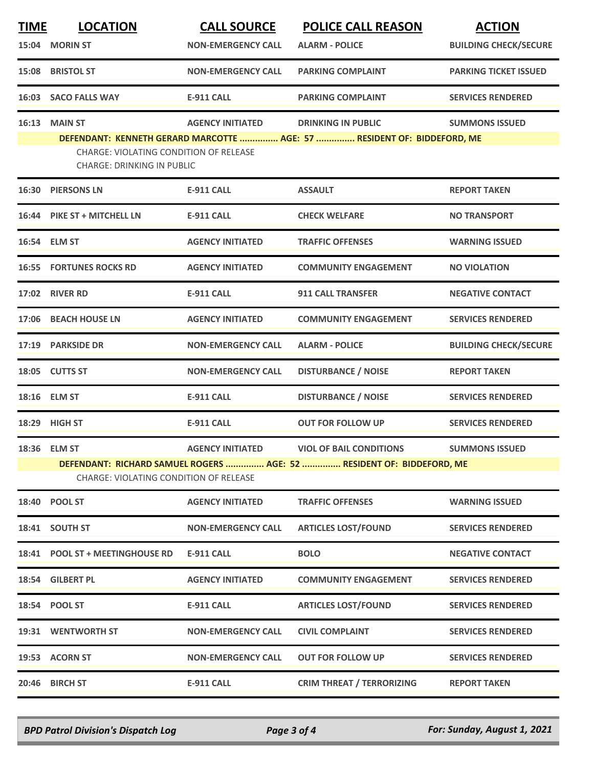| <b>TIME</b> | <b>LOCATION</b>                                                                                                        | <b>CALL SOURCE</b>        | <b>POLICE CALL REASON</b>                                               | <b>ACTION</b>                |  |
|-------------|------------------------------------------------------------------------------------------------------------------------|---------------------------|-------------------------------------------------------------------------|------------------------------|--|
|             | 15:04 MORIN ST                                                                                                         | <b>NON-EMERGENCY CALL</b> | <b>ALARM - POLICE</b>                                                   | <b>BUILDING CHECK/SECURE</b> |  |
|             | 15:08 BRISTOL ST                                                                                                       | <b>NON-EMERGENCY CALL</b> | <b>PARKING COMPLAINT</b>                                                | <b>PARKING TICKET ISSUED</b> |  |
|             | 16:03 SACO FALLS WAY                                                                                                   | <b>E-911 CALL</b>         | <b>PARKING COMPLAINT</b>                                                | <b>SERVICES RENDERED</b>     |  |
| 16:13       | <b>MAIN ST</b>                                                                                                         | <b>AGENCY INITIATED</b>   | <b>DRINKING IN PUBLIC</b>                                               | <b>SUMMONS ISSUED</b>        |  |
|             | <b>CHARGE: VIOLATING CONDITION OF RELEASE</b><br><b>CHARGE: DRINKING IN PUBLIC</b>                                     |                           | DEFENDANT: KENNETH GERARD MARCOTTE  AGE: 57  RESIDENT OF: BIDDEFORD, ME |                              |  |
|             | <b>16:30 PIERSONS LN</b>                                                                                               | <b>E-911 CALL</b>         | <b>ASSAULT</b>                                                          | <b>REPORT TAKEN</b>          |  |
|             | 16:44 PIKE ST + MITCHELL LN                                                                                            | <b>E-911 CALL</b>         | <b>CHECK WELFARE</b>                                                    | <b>NO TRANSPORT</b>          |  |
|             | 16:54 ELM ST                                                                                                           | <b>AGENCY INITIATED</b>   | <b>TRAFFIC OFFENSES</b>                                                 | <b>WARNING ISSUED</b>        |  |
|             | <b>16:55 FORTUNES ROCKS RD</b>                                                                                         | <b>AGENCY INITIATED</b>   | <b>COMMUNITY ENGAGEMENT</b>                                             | <b>NO VIOLATION</b>          |  |
|             | <b>17:02 RIVER RD</b>                                                                                                  | <b>E-911 CALL</b>         | <b>911 CALL TRANSFER</b>                                                | <b>NEGATIVE CONTACT</b>      |  |
|             | 17:06 BEACH HOUSE LN                                                                                                   | <b>AGENCY INITIATED</b>   | <b>COMMUNITY ENGAGEMENT</b>                                             | <b>SERVICES RENDERED</b>     |  |
|             | 17:19 PARKSIDE DR                                                                                                      | <b>NON-EMERGENCY CALL</b> | <b>ALARM - POLICE</b>                                                   | <b>BUILDING CHECK/SECURE</b> |  |
|             | 18:05 CUTTS ST                                                                                                         | <b>NON-EMERGENCY CALL</b> | <b>DISTURBANCE / NOISE</b>                                              | <b>REPORT TAKEN</b>          |  |
|             | 18:16 ELM ST                                                                                                           | <b>E-911 CALL</b>         | <b>DISTURBANCE / NOISE</b>                                              | <b>SERVICES RENDERED</b>     |  |
|             | 18:29 HIGH ST                                                                                                          | <b>E-911 CALL</b>         | <b>OUT FOR FOLLOW UP</b>                                                | <b>SERVICES RENDERED</b>     |  |
|             | 18:36 ELM ST                                                                                                           | <b>AGENCY INITIATED</b>   | <b>VIOL OF BAIL CONDITIONS</b>                                          | <b>SUMMONS ISSUED</b>        |  |
|             | DEFENDANT: RICHARD SAMUEL ROGERS  AGE: 52  RESIDENT OF: BIDDEFORD, ME<br><b>CHARGE: VIOLATING CONDITION OF RELEASE</b> |                           |                                                                         |                              |  |
|             | 18:40 POOL ST                                                                                                          | <b>AGENCY INITIATED</b>   | <b>TRAFFIC OFFENSES</b>                                                 | <b>WARNING ISSUED</b>        |  |
|             | 18:41 SOUTH ST                                                                                                         | <b>NON-EMERGENCY CALL</b> | <b>ARTICLES LOST/FOUND</b>                                              | <b>SERVICES RENDERED</b>     |  |
|             | 18:41 POOL ST + MEETINGHOUSE RD                                                                                        | <b>E-911 CALL</b>         | <b>BOLO</b>                                                             | <b>NEGATIVE CONTACT</b>      |  |
|             | 18:54 GILBERT PL                                                                                                       | <b>AGENCY INITIATED</b>   | <b>COMMUNITY ENGAGEMENT</b>                                             | <b>SERVICES RENDERED</b>     |  |
|             | 18:54 POOL ST                                                                                                          | <b>E-911 CALL</b>         | <b>ARTICLES LOST/FOUND</b>                                              | <b>SERVICES RENDERED</b>     |  |
|             | 19:31 WENTWORTH ST                                                                                                     | <b>NON-EMERGENCY CALL</b> | <b>CIVIL COMPLAINT</b>                                                  | <b>SERVICES RENDERED</b>     |  |
|             | 19:53 ACORN ST                                                                                                         | <b>NON-EMERGENCY CALL</b> | <b>OUT FOR FOLLOW UP</b>                                                | <b>SERVICES RENDERED</b>     |  |
| 20:46       | <b>BIRCH ST</b>                                                                                                        | <b>E-911 CALL</b>         | <b>CRIM THREAT / TERRORIZING</b>                                        | <b>REPORT TAKEN</b>          |  |
|             |                                                                                                                        |                           |                                                                         |                              |  |

*BPD Patrol Division's Dispatch Log Page 3 of 4 For: Sunday, August 1, 2021*